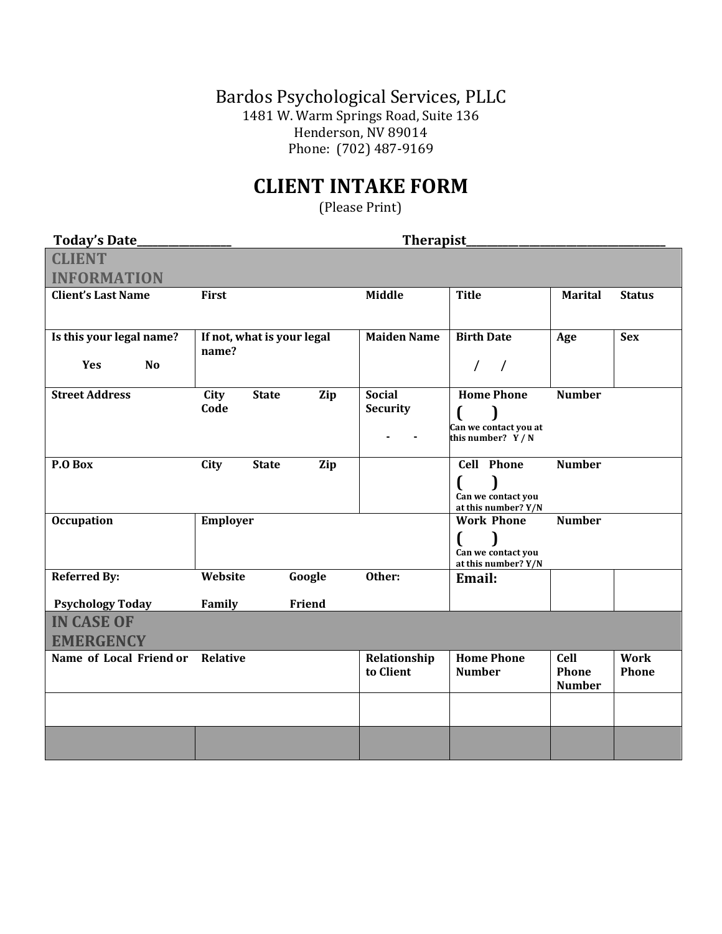Bardos Psychological Services, PLLC 1481 W. Warm Springs Road, Suite 136 Henderson, NV 89014 Phone: (702) 487-9169

## **CLIENT INTAKE FORM**

(Please Print)

| <b>Today's Date_</b>      | Therapist                   |                    |                                             |                        |               |
|---------------------------|-----------------------------|--------------------|---------------------------------------------|------------------------|---------------|
| <b>CLIENT</b>             |                             |                    |                                             |                        |               |
| <b>INFORMATION</b>        |                             |                    |                                             |                        |               |
| <b>Client's Last Name</b> | <b>First</b>                | <b>Middle</b>      | <b>Title</b>                                | <b>Marital</b>         | <b>Status</b> |
|                           |                             |                    |                                             |                        |               |
| Is this your legal name?  | If not, what is your legal  | <b>Maiden Name</b> | <b>Birth Date</b>                           | Age                    | <b>Sex</b>    |
| Yes<br><b>No</b>          | name?                       |                    | $\frac{1}{2}$                               |                        |               |
| <b>Street Address</b>     | City<br><b>State</b><br>Zip | <b>Social</b>      | <b>Home Phone</b>                           | <b>Number</b>          |               |
|                           | Code                        | <b>Security</b>    |                                             |                        |               |
|                           |                             |                    | Can we contact you at<br>this number? $Y/N$ |                        |               |
|                           |                             |                    |                                             |                        |               |
| P.O Box                   | City<br><b>State</b><br>Zip |                    | <b>Cell Phone</b>                           | <b>Number</b>          |               |
|                           |                             |                    |                                             |                        |               |
|                           |                             |                    | Can we contact you<br>at this number? Y/N   |                        |               |
| <b>Occupation</b>         | Employer                    |                    | <b>Work Phone</b>                           | <b>Number</b>          |               |
|                           |                             |                    |                                             |                        |               |
|                           |                             |                    | Can we contact you<br>at this number? Y/N   |                        |               |
| <b>Referred By:</b>       | Website<br>Google           | Other:             | Email:                                      |                        |               |
| <b>Psychology Today</b>   | Friend<br>Family            |                    |                                             |                        |               |
| <b>IN CASE OF</b>         |                             |                    |                                             |                        |               |
| <b>EMERGENCY</b>          |                             |                    |                                             |                        |               |
| Name of Local Friend or   | <b>Relative</b>             | Relationship       | <b>Home Phone</b>                           | <b>Cell</b>            | <b>Work</b>   |
|                           |                             | to Client          | <b>Number</b>                               | Phone<br><b>Number</b> | Phone         |
|                           |                             |                    |                                             |                        |               |
|                           |                             |                    |                                             |                        |               |
|                           |                             |                    |                                             |                        |               |